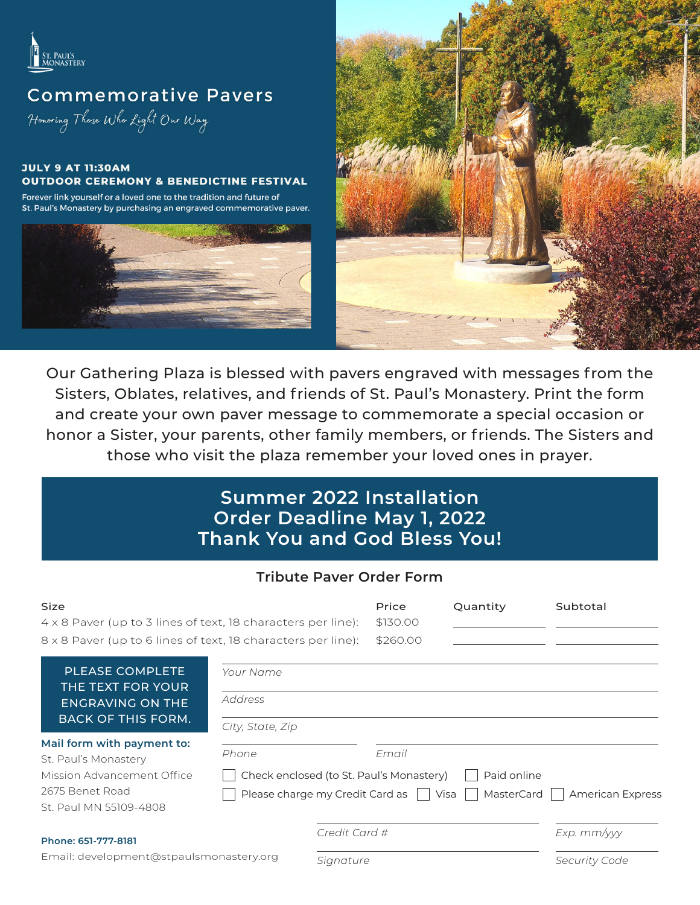

# **Commemorative Pavers**

Honoring Those Who Light Our Way

#### **JULY 9 AT 11:30AM OUTDOOR CEREMONY & BENEDICTINE FESTIVAL**

Forever link yourself or a loved one to the tradition and future of St. Paul's Monastery by purchasing an engraved commemorative paver.





Our Gathering Plaza is blessed with pavers engraved with messages from the Sisters, Oblates, relatives, and friends of St. Paul's Monastery. Print the form and create your own paver message to commemorate a special occasion or honor a Sister, your parents, other family members, or friends. The Sisters and those who visit the plaza remember your loved ones in prayer.

## **Summer 2022 Installation Order Deadline May 1, 2022 Thank You and God Bless You!**

#### **Tribute Paver Order Form**

| <b>Size</b><br>$4 \times 8$ Paver (up to 3 lines of text, 18 characters per line):<br>8 x 8 Paver (up to 6 lines of text, 18 characters per line): |                                                                                  |               | Price<br>\$130.00<br>\$260.00                     | Quantity      | Subtotal        |
|----------------------------------------------------------------------------------------------------------------------------------------------------|----------------------------------------------------------------------------------|---------------|---------------------------------------------------|---------------|-----------------|
| <b>PLEASE COMPLETE</b><br>THE TEXT FOR YOUR<br><b>ENGRAVING ON THE</b><br><b>BACK OF THIS FORM.</b>                                                | Your Name                                                                        |               |                                                   |               |                 |
|                                                                                                                                                    | Address                                                                          |               |                                                   |               |                 |
|                                                                                                                                                    | City, State, Zip                                                                 |               |                                                   |               |                 |
| Mail form with payment to:<br>St. Paul's Monastery<br>Mission Advancement Office<br>2675 Benet Road<br>St. Paul MN 55109-4808                      | Phone                                                                            |               | Email<br>Check enclosed (to St. Paul's Monastery) | Paid online   |                 |
|                                                                                                                                                    | Please charge my Credit Card as<br>MasterCard<br>Visa<br><b>American Express</b> |               |                                                   |               |                 |
| Phone: 651-777-8181                                                                                                                                |                                                                                  | Credit Card # |                                                   |               | $Exp.$ $mm/yyy$ |
| Email: development@stpaulsmonastery.org                                                                                                            |                                                                                  | Signature     |                                                   | Security Code |                 |